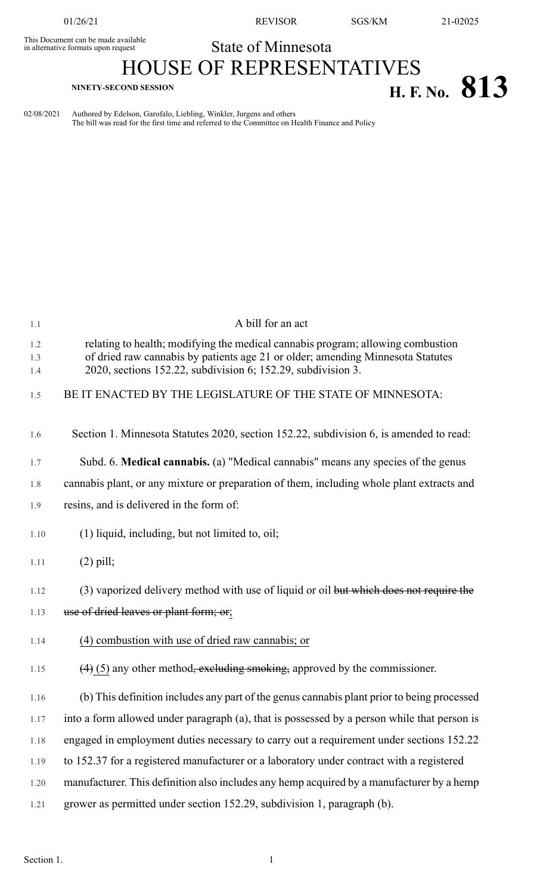This Document can be made available<br>in alternative formats upon request

01/26/21 REVISOR SGS/KM 21-02025

## State of Minnesota

## HOUSE OF REPRESENTATIVES **H. F.** No. 813

| 02/08/2021 | Authored by Edelson, Garofalo, Liebling, Winkler, Jurgens and others                            |
|------------|-------------------------------------------------------------------------------------------------|
|            | The bill was read for the first time and referred to the Committee on Health Finance and Policy |

| 1.1               | A bill for an act                                                                                                                                                                                                                 |
|-------------------|-----------------------------------------------------------------------------------------------------------------------------------------------------------------------------------------------------------------------------------|
| 1.2<br>1.3<br>1.4 | relating to health; modifying the medical cannabis program; allowing combustion<br>of dried raw cannabis by patients age 21 or older; amending Minnesota Statutes<br>2020, sections 152.22, subdivision 6; 152.29, subdivision 3. |
| 1.5               | BE IT ENACTED BY THE LEGISLATURE OF THE STATE OF MINNESOTA:                                                                                                                                                                       |
| 1.6               | Section 1. Minnesota Statutes 2020, section 152.22, subdivision 6, is amended to read:                                                                                                                                            |
| 1.7               | Subd. 6. Medical cannabis. (a) "Medical cannabis" means any species of the genus                                                                                                                                                  |
| 1.8               | cannabis plant, or any mixture or preparation of them, including whole plant extracts and                                                                                                                                         |
| 1.9               | resins, and is delivered in the form of:                                                                                                                                                                                          |
| 1.10              | (1) liquid, including, but not limited to, oil;                                                                                                                                                                                   |
| 1.11              | $(2)$ pill;                                                                                                                                                                                                                       |
| 1.12              | (3) vaporized delivery method with use of liquid or oil but which does not require the                                                                                                                                            |
| 1.13              | use of dried leaves or plant form; or;                                                                                                                                                                                            |
| 1.14              | (4) combustion with use of dried raw cannabis; or                                                                                                                                                                                 |
| 1.15              | $(4)$ (5) any other method <del>, excluding smoking,</del> approved by the commissioner.                                                                                                                                          |
| 1.16              | (b) This definition includes any part of the genus cannabis plant prior to being processed                                                                                                                                        |
| 1.17              | into a form allowed under paragraph (a), that is possessed by a person while that person is                                                                                                                                       |
| 1.18              | engaged in employment duties necessary to carry out a requirement under sections 152.22                                                                                                                                           |
| 1.19              | to 152.37 for a registered manufacturer or a laboratory under contract with a registered                                                                                                                                          |
| 1.20              | manufacturer. This definition also includes any hemp acquired by a manufacturer by a hemp                                                                                                                                         |
| 1.21              | grower as permitted under section 152.29, subdivision 1, paragraph (b).                                                                                                                                                           |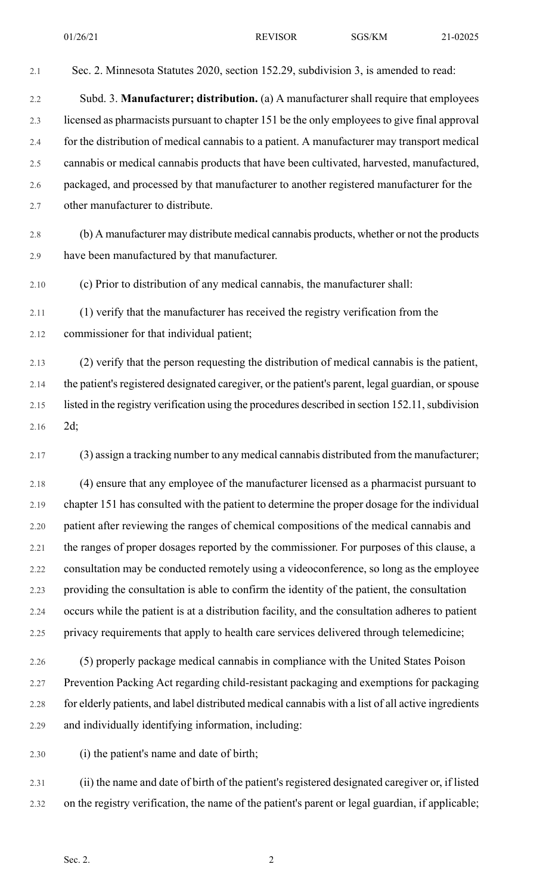## 2.1 Sec. 2. Minnesota Statutes 2020, section 152.29, subdivision 3, is amended to read: 2.2 Subd. 3. **Manufacturer; distribution.** (a) A manufacturer shall require that employees 2.3 licensed as pharmacists pursuant to chapter 151 be the only employeesto give final approval 2.4 for the distribution of medical cannabis to a patient. A manufacturer may transport medical 2.5 cannabis or medical cannabis products that have been cultivated, harvested, manufactured, 2.6 packaged, and processed by that manufacturer to another registered manufacturer for the 2.7 other manufacturer to distribute. 2.8 (b) A manufacturer may distribute medical cannabis products, whether or not the products 2.9 have been manufactured by that manufacturer. 2.10 (c) Prior to distribution of any medical cannabis, the manufacturer shall: 2.11 (1) verify that the manufacturer has received the registry verification from the 2.12 commissioner for that individual patient;

2.13 (2) verify that the person requesting the distribution of medical cannabis is the patient, 2.14 the patient's registered designated caregiver, or the patient's parent, legal guardian, or spouse 2.15 listed in the registry verification using the procedures described in section 152.11, subdivision 2.16 2d;

2.17 (3) assign a tracking number to any medical cannabis distributed from the manufacturer;

2.18 (4) ensure that any employee of the manufacturer licensed as a pharmacist pursuant to 2.19 chapter 151 has consulted with the patient to determine the proper dosage for the individual 2.20 patient after reviewing the ranges of chemical compositions of the medical cannabis and 2.21 the ranges of proper dosages reported by the commissioner. For purposes of this clause, a 2.22 consultation may be conducted remotely using a videoconference, so long as the employee 2.23 providing the consultation is able to confirm the identity of the patient, the consultation 2.24 occurs while the patient is at a distribution facility, and the consultation adheres to patient 2.25 privacy requirements that apply to health care services delivered through telemedicine;

2.26 (5) properly package medical cannabis in compliance with the United States Poison 2.27 Prevention Packing Act regarding child-resistant packaging and exemptions for packaging 2.28 for elderly patients, and label distributed medical cannabis with a list of all active ingredients 2.29 and individually identifying information, including:

2.30 (i) the patient's name and date of birth;

2.31 (ii) the name and date of birth of the patient's registered designated caregiver or, if listed 2.32 on the registry verification, the name of the patient's parent or legal guardian, if applicable;